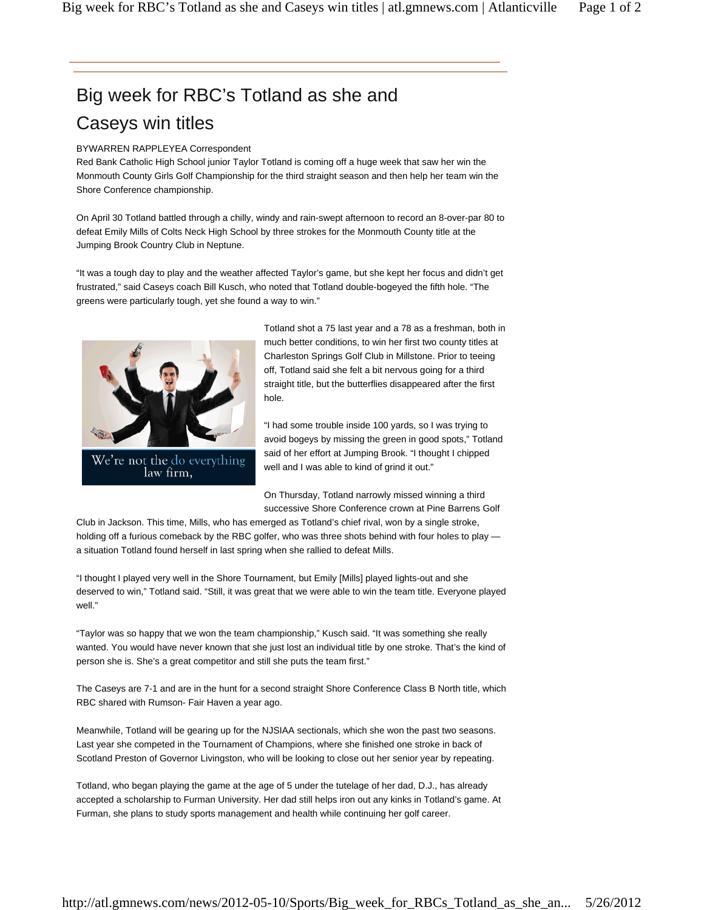## Big week for RBC's Totland as she and Caseys win titles

## BYWARREN RAPPLEYEA Correspondent

Red Bank Catholic High School junior Taylor Totland is coming off a huge week that saw her win the Monmouth County Girls Golf Championship for the third straight season and then help her team win the Shore Conference championship.

On April 30 Totland battled through a chilly, windy and rain-swept afternoon to record an 8-over-par 80 to defeat Emily Mills of Colts Neck High School by three strokes for the Monmouth County title at the Jumping Brook Country Club in Neptune.

"It was a tough day to play and the weather affected Taylor's game, but she kept her focus and didn't get frustrated," said Caseys coach Bill Kusch, who noted that Totland double-bogeyed the fifth hole. "The greens were particularly tough, yet she found a way to win."



We're not the do everything law firm,

Totland shot a 75 last year and a 78 as a freshman, both in much better conditions, to win her first two county titles at Charleston Springs Golf Club in Millstone. Prior to teeing off, Totland said she felt a bit nervous going for a third straight title, but the butterflies disappeared after the first hole.

"I had some trouble inside 100 yards, so I was trying to avoid bogeys by missing the green in good spots," Totland said of her effort at Jumping Brook. "I thought I chipped well and I was able to kind of grind it out."

On Thursday, Totland narrowly missed winning a third successive Shore Conference crown at Pine Barrens Golf

Club in Jackson. This time, Mills, who has emerged as Totland's chief rival, won by a single stroke, holding off a furious comeback by the RBC golfer, who was three shots behind with four holes to play a situation Totland found herself in last spring when she rallied to defeat Mills.

"I thought I played very well in the Shore Tournament, but Emily [Mills] played lights-out and she deserved to win," Totland said. "Still, it was great that we were able to win the team title. Everyone played well."

"Taylor was so happy that we won the team championship," Kusch said. "It was something she really wanted. You would have never known that she just lost an individual title by one stroke. That's the kind of person she is. She's a great competitor and still she puts the team first."

The Caseys are 7-1 and are in the hunt for a second straight Shore Conference Class B North title, which RBC shared with Rumson- Fair Haven a year ago.

Meanwhile, Totland will be gearing up for the NJSIAA sectionals, which she won the past two seasons. Last year she competed in the Tournament of Champions, where she finished one stroke in back of Scotland Preston of Governor Livingston, who will be looking to close out her senior year by repeating.

Totland, who began playing the game at the age of 5 under the tutelage of her dad, D.J., has already accepted a scholarship to Furman University. Her dad still helps iron out any kinks in Totland's game. At Furman, she plans to study sports management and health while continuing her golf career.